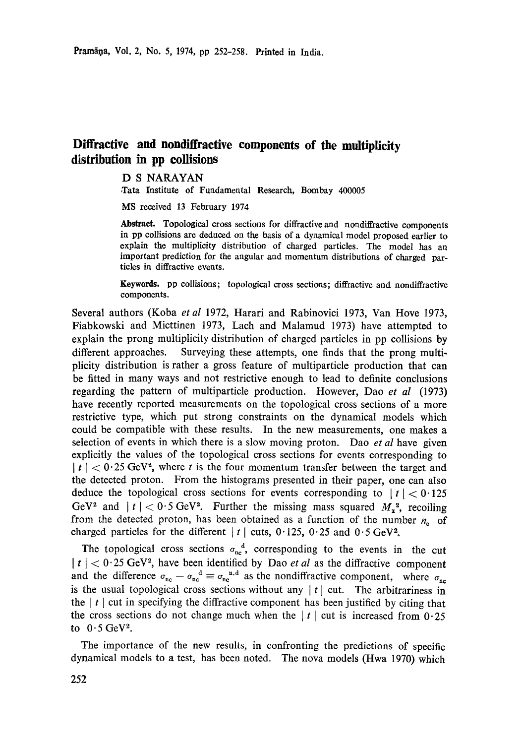## **Diffractive and nondiffraetive components of the multiplicity distribution in pp collisions**

## D S NARAYAN

Tata Institute of Fundamental Research, Bombay 400005

MS received 13 February 1974

**Abstract.** Topological cross sections for diffractive and nondiffractive components in pp collisions are deduced on the basis of a dynamical model proposed earlier to explain the multiplicity distribution of charged particles. The model has an important prediction for the angular and momentum distributions of charged particles in diffractive events.

**Keywords.** pp collisions; topological cross sections; diffractive and nondiffractive components.

Several authors (Koba *et al* 1972, Harari and Rabinovici 1973, Van Hove 1973, Fiabkowski and Micttinen 1973, Lach and Malamud 1973) have attempted to explain the prong multiplicity distribution of charged particles in pp collisions by different approaches. Surveying these attempts, one finds that the prong multiplicity distribution is rather a gross feature of multiparticle production that can be fitted in many ways and not restrictive enough to lead to definite conclusions regarding the pattern of multiparticle production. However, Dao *et al* (1973) have recently reported measurements on the topological cross sections of a more restrictive type, which put strong constraints on the dynamical models which could be compatible with these results. In the new measurements, one makes a selection of events in which there is a slow moving proton. Dao *et al* have given explicitly the values of the topological cross sections for events corresponding to  $|t| < 0.25$  GeV<sup>2</sup>, where t is the four momentum transfer between the target and the detected proton. From the histograms presented in their paper, one can also deduce the topological cross sections for events corresponding to  $|t| < 0.125$ GeV<sup>2</sup> and  $|t| < 0.5$  GeV<sup>2</sup>. Further the missing mass squared  $M_x^2$ , recoiling from the detected proton, has been obtained as a function of the number  $n_e$  of charged particles for the different  $|t|$  cuts, 0.125, 0.25 and 0.5 GeV<sup>2</sup>.

The topological cross sections  $\sigma_{nc}^a$ , corresponding to the events in the cut  $|t| < 0.25$  GeV<sup>2</sup>, have been identified by Dao *et al* as the diffractive component and the difference  $\sigma_{nc} - \sigma_{nc}^d \equiv \sigma_{nc}^{n,d}$  as the nondiffractive component, where  $\sigma_{nc}$ is the usual topological cross sections without any  $|t|$  cut. The arbitrariness in the  $| t |$  cut in specifying the diffractive component has been justified by citing that the cross sections do not change much when the  $|t|$  cut is increased from 0.25 to  $0.5 \text{ GeV}^2$ .

The importance of the new results, in confronting the predictions of specific dynamical models to a test, has been noted. The nova models (Hwa 1970) which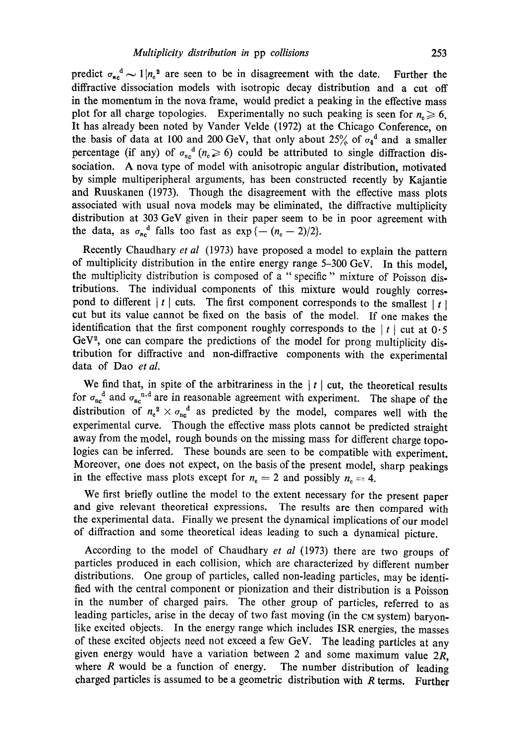predict  $\sigma_{nc}^d \sim 1 |n_c^2$  are seen to be in disagreement with the date. Further the diffractive dissociation models with isotropic decay distribution and a cut off in the momentum in the nova frame, would predict a peaking in the effective mass plot for all charge topologies. Experimentally no such peaking is seen for  $n_e \ge 6$ . It has already been noted by Vander Velde (1972) at the Chicago Conference, on the basis of data at 100 and 200 GeV, that only about 25% of  $\sigma_4$ <sup>d</sup> and a smaller percentage (if any) of  $\sigma_{nc}^{d}$  ( $n_e \ge 6$ ) could be attributed to single diffraction dissociation. A nova type of model with anisotropic angular distribution, motivated by simple multiperipheral arguments, has been constructed recently by Kajantie and Ruuskanen (1973). Though the disagreement with the effective mass plots associated with usual nova models may be eliminated, the diffractive multiplicity distribution at 303 GeV given in their paper seem to be in poor agreement with the data, as  $\sigma_{nc}$ <sup>d</sup> falls too fast as  $\exp{\{-(n_{c}-2)/2\}}$ .

Recently Chaudhary *et al* (1973) have proposed a model to explain the pattern of multiplicity distribution in the entire energy range 5-300 GeV. In this model, the multiplicity distribution is composed of a "specific" mixture of Poisson distributions. The individual components of this mixture would roughly correspond to different  $| t |$  cuts. The first component corresponds to the smallest  $| t |$ cut but its value cannot be fixed on the basis of the model. If one makes the identification that the first component roughly corresponds to the  $|t|$  cut at 0.5  $GeV<sup>2</sup>$ , one can compare the predictions of the model for prong multiplicity distribution for diffractive and non-diffractive components with the experimental data of Dao *et al.* 

We find that, in spite of the arbitrariness in the  $|t|$  cut, the theoretical results for  $\sigma_{nc}$  and  $\sigma_{nc}$  are in reasonable agreement with experiment. The shape of the distribution of  $n_e^2 \times \sigma_{ne}^2$  as predicted by the model, compares well with the experimental curve. Though the effective mass plots cannot be predicted straight away from the model, rough bounds on the missing mass for different charge topologies can be inferred. These bounds are seen to be compatible with experiment. Moreover, one does not expect, on the basis of the present model, sharp peakings in the effective mass plots except for  $n_e = 2$  and possibly  $n_e = 4$ .

We first briefly outline the model to the extent necessary for the present paper and give relevant theoretical expressions. The results are then compared with the experimental data. Finally we present the dynamical implications of our model of diffraction and some theoretical ideas leading to such a dynamical picture.

According to the model of Chaudhary *et al* (1973) there are two groups of particles produced in each collision, which are characterized by different number distributions. One group of particles, called non-leading particles, may be identified with the central component or pionization and their distribution is a Poisson in the number of charged pairs. The other group of particles, referred to as leading particles, arise in the decay of two fast moving (in the CM system) baryonlike excited objects. In the energy range which includes ISR energies, the masses of these excited objects need not exceed a few GeV. The leading particles at any given energy would have a variation between 2 and some maximum value  $2R$ , where  $R$  would be a function of energy. The number distribution of leading charged particles is assumed to be a geometric distribution with R terms. Further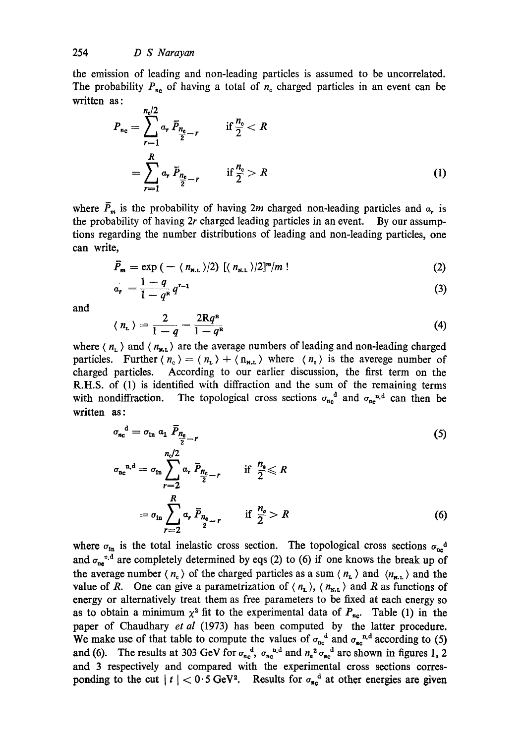the emission of leading and non-leading particles is assumed to be uncorrelated. The probability  $P_{n_c}$  of having a total of  $n_c$  charged particles in an event can be written as:

$$
P_{n_c} = \sum_{r=1}^{n_c/2} \alpha_r \, \bar{P}_{\frac{n_c}{2} - r} \qquad \text{if } \frac{n_c}{2} < R
$$
\n
$$
= \sum_{r=1}^{R} \alpha_r \, \bar{P}_{\frac{n_c}{2} - r} \qquad \text{if } \frac{n_c}{2} > R
$$
\n(1)

where  $\bar{P}_m$  is the probability of having 2m charged non-leading particles and  $\alpha$ , is the probability of having 2r charged leading particles in an event. By our assumptions regarding the number distributions of leading and non-leading particles, one can write,

$$
\bar{P}_{\mathbf{m}} = \exp\left(-\langle n_{\mathbf{m},L}\rangle/2\right) \left[\langle n_{\mathbf{m},L}\rangle/2\right]^m/m\tag{2}
$$

$$
a_r = \frac{1-q}{1-q^n} q^{r-1}
$$
 (3)

and

$$
\langle n_{\rm L} \rangle = \frac{2}{1-q} - \frac{2Rq^{\rm R}}{1-q^{\rm R}} \tag{4}
$$

where  $\langle n_{\rm t} \rangle$  and  $\langle n_{\rm m} \rangle$  are the average numbers of leading and non-leading charged particles. Further  $\langle n_c \rangle = \langle n_{L} \rangle + \langle n_{R,L} \rangle$  where  $\langle n_c \rangle$  is the averege number of charged particles. According to our earlier discussion, the first term on the R.H.S. of (1) is identified with diffraction and the sum of the remaining terms with nondiffraction. The topological cross sections  $\sigma_{n_c}^d$  and  $\sigma_{n_c}^{n_d}$  can then be written as:

$$
\sigma_{nc}^{d} = \sigma_{in} \ a_1 \ \overline{P}_{\frac{n_e}{2} - r}
$$
\n
$$
\sigma_{nc}^{n.d} = \sigma_{in} \sum_{r=2}^{n_e/2} a_r \ \overline{P}_{\frac{n_e}{2} - r}
$$
 if  $\frac{n_e}{2} \le R$ \n
$$
= \sigma_{in} \sum_{r=2}^{R} a_r \ \overline{P}_{\frac{n_e}{2} - r}
$$
 if  $\frac{n_e}{2} > R$ \n
$$
(6)
$$

where  $\sigma_{\text{in}}$  is the total inelastic cross section. The topological cross sections  $\sigma_{\text{ne}}^2$ and  $\sigma_{ne}^{n,d}$  are completely determined by eqs (2) to (6) if one knows the break up of the average number  $\langle n_c \rangle$  of the charged particles as a sum  $\langle n_L \rangle$  and  $\langle n_{\mathbf{x},L} \rangle$  and the value of R. One can give a parametrization of  $\langle n_{\rm r} \rangle$ ,  $\langle n_{\rm m} \rangle$  and R as functions of energy or alternatively treat them as free parameters to be fixed at each energy so as to obtain a minimum  $\chi^2$  fit to the experimental data of  $P_{nc}$ . Table (1) in the paper of Chaudhary *et al* (1973) has been computed by the latter procedure. We make use of that table to compute the values of  $\sigma_{nc}^{\alpha}$  and  $\sigma_{nc}^{\alpha}$  according to (5) and (6). The results at 303 GeV for  $\sigma_{nc}^{\alpha}$ ,  $\sigma_{nc}^{\alpha}$  and  $n_a^2 \sigma_{nc}^{\alpha}$  are shown in figures 1, 2 and 3 respectively and compared with the experimental cross sections corresponding to the cut  $|t| < 0.5$  GeV<sup>2</sup>. Results for  $\sigma_{\text{sc}}^d$  at other energies are given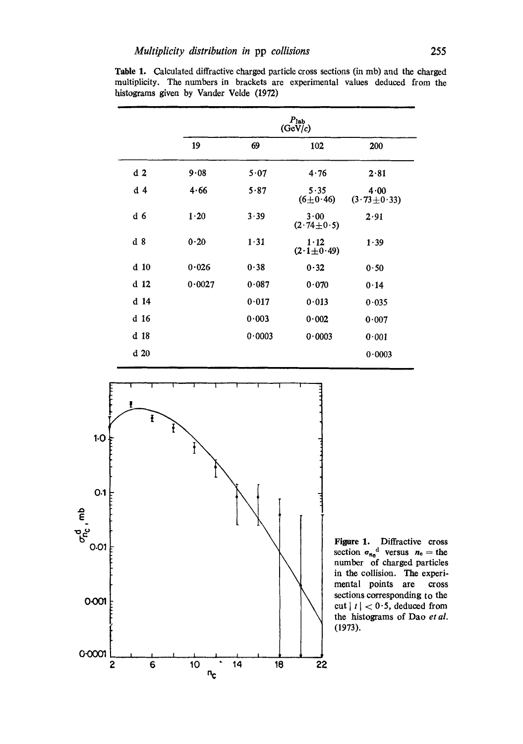|                 | $P_{\rm lab}$<br>(GeV/c) |        |                        |                           |
|-----------------|--------------------------|--------|------------------------|---------------------------|
|                 | 19                       | 69     | 102                    | 200                       |
| d <sub>2</sub>  | 9.08                     | 5.07   | 4.76                   | 2.81                      |
| d <sub>4</sub>  | 4.66                     | 5.87   | 5.35<br>$(6 \pm 0.46)$ | 4.00<br>$(3.73 \pm 0.33)$ |
| d 6             | 1.20                     | 3.39   | 3.00<br>$(2.74\pm0.5)$ | 2.91                      |
| d <sub>8</sub>  | 0.20                     | 1.31   | 1.12<br>$(2.1\pm0.49)$ | 1.39                      |
| d <sub>10</sub> | 0.026                    | 0.38   | 0.32                   | 0.50                      |
| d 12            | 0.0027                   | 0.087  | 0.070                  | 0.14                      |
| $d$ 14          |                          | 0.017  | 0.013                  | 0.035                     |
| d 16            |                          | 0.003  | 0.002                  | 0.007                     |
| d <sub>18</sub> |                          | 0.0003 | 0.0003                 | 0.001                     |
| d <sub>20</sub> |                          |        |                        | 0.0003                    |

Table 1. Calculated diffractive charged particle cross sections (in mb) and the charged multiplicity. The numbers in brackets are experimental values deduced from the histograms given by Vander Velde (1972)



Figure 1. Diffractive cross section  $\sigma_{n_e}^d$  versus  $n_e =$  the number of charged particles in the collision. The experimental points are cross sections corresponding to the cut  $|t| < 0.5$ , deduced from the histograms of Dao *et al.*  (1973).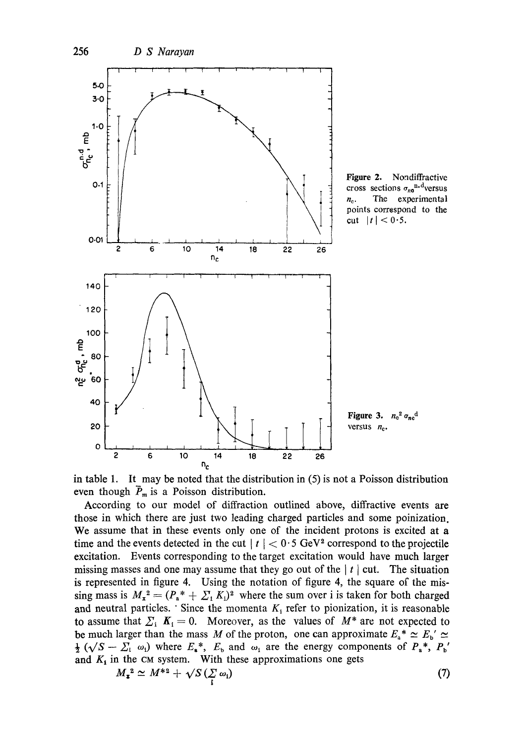

in table 1. It may be noted that the distribution in (5) is not a Poisson distribution even though  $\overline{P}_m$  is a Poisson distribution.

According to our model of diffraction outlined above, diffractive events are those in which there are just two leading charged particles and some poinization. We assume that in these events only one of the incident protons is excited at a time and the events detected in the cut  $|t| < 0.5$  GeV<sup>2</sup> correspond to the projectile excitation. Events corresponding to the target excitation would have much larger missing masses and one may assume that they go out of the  $|t|$  cut. The situation is represented in figure 4. Using the notation of figure 4, the square of the missing mass is  $M_x^2 = (P_a^* + \sum_i K_i)^2$  where the sum over i is taken for both charged and neutral particles. Since the momenta  $K_i$  refer to pionization, it is reasonable to assume that  $\sum_i K_i = 0$ . Moreover, as the values of  $M^*$  are not expected to be much larger than the mass M of the proton, one can approximate  $E_a^* \simeq E_b' \simeq$  $\frac{1}{2}$  ( $\sqrt{S - \sum_i \omega_i}$ ) where  $E_*^*$ ,  $E_b$  and  $\omega_i$  are the energy components of  $P_*^*$ ,  $P_b'$ and  $K_i$  in the cm system. With these approximations one gets

$$
M_{\bullet}^{2} \simeq M^{*2} + \sqrt{S} \left( \sum_{i} \omega_{i} \right) \tag{7}
$$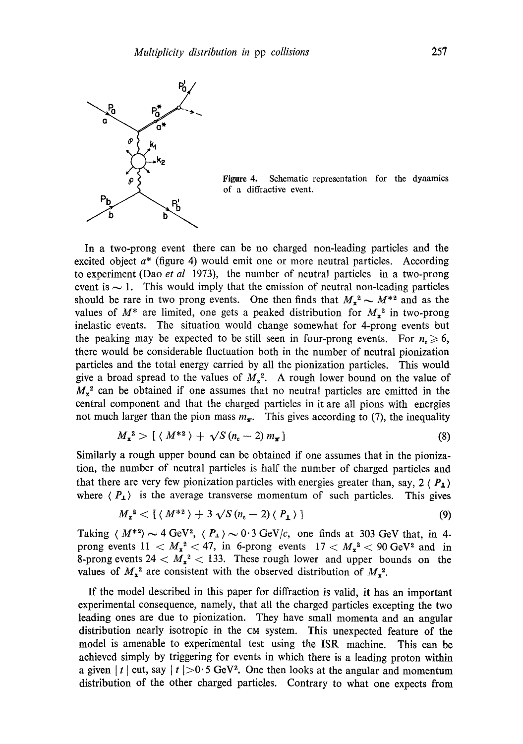

Figure 4. Schematic representation for the dynamics of a diffractive event.

In a two-prong event there can be no charged non-leading particles and the excited object  $a^*$  (figure 4) would emit one or more neutral particles. According to experiment (Dao *et al* 1973), the number of neutral particles in a two-prong event is  $\sim$  1. This would imply that the emission of neutral non-leading particles should be rare in two prong events. One then finds that  $M_x^2 \sim M^{*2}$  and as the values of  $M^*$  are limited, one gets a peaked distribution for  $M_{\rm x}$ <sup>2</sup> in two-prong inelastic events. The situation would change somewhat for 4-prong events but the peaking may be expected to be still seen in four-prong events. For  $n_e \ge 6$ , there would be considerable fluctuation both in the number of neutral pionization particles and the total energy carried by all the pionization particles. This would give a broad spread to the values of  $M_x^2$ . A rough lower bound on the value of  $M_{x}^{2}$  can be obtained if one assumes that no neutral particles are emitted in the central component and that the charged particles in it are all pions with energies not much larger than the pion mass  $m_{\pi}$ . This gives according to (7), the inequality

$$
M_{\mathbf{r}}^2 > \left[ \langle M^{*2} \rangle + \sqrt{S(n_{\rm e}-2)} m_{\mathbf{r}} \right] \tag{8}
$$

Similarly a rough upper bound can be obtained if one assumes that in the pionization, the number of neutral particles is half the number of charged particles and that there are very few pionization particles with energies greater than, say,  $2 \langle P_{\perp} \rangle$ where  $\langle P_1 \rangle$  is the average transverse momentum of such particles. This gives

$$
M_{\mathbf{x}}^2 < \left[ \langle M^{*2} \rangle + 3\sqrt{S(n_{\rm c}-2)} \langle P_{\mathbf{L}} \rangle \right] \tag{9}
$$

Taking  $\langle M^{*2} \rangle \sim 4 \text{ GeV}^2$ ,  $\langle P_{\perp} \rangle \sim 0.3 \text{ GeV}/c$ , one finds at 303 GeV that, in 4prong events  $11 < M_x^2 < 47$ , in 6-prong events  $17 < M_x^2 < 90$  GeV<sup>2</sup> and in 8-prong events  $24 < M_x^2 < 133$ . These rough lower and upper bounds on the values of  $M_{\rm x}^2$  are consistent with the observed distribution of  $M_{\rm x}^2$ .

If the model described in this paper for diffraction is valid, it has an important experimental consequence, namely, that all the charged particles excepting the two leading ones are due to pionization. They have small momenta and an angular distribution nearly isotropic in the CM system. This unexpected feature of the model is amenable to experimental test using the ISR machine. This can be achieved simply by triggering for events in which there is a leading proton within a given | t | cut, say | t | > 0.5 GeV<sup>2</sup>. One then looks at the angular and momentum distribution of the other charged particles. Contrary to what one expects from